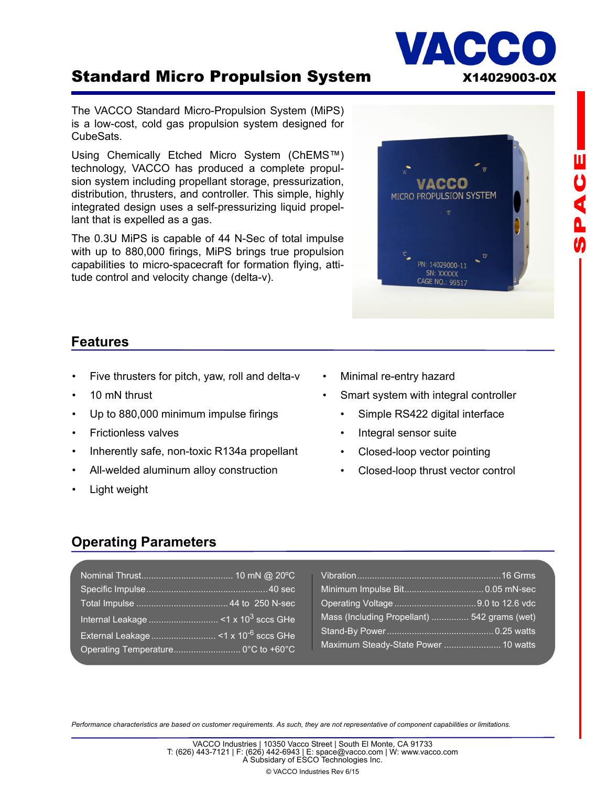# Standard Micro Propulsion System X14029003-0X

The VACCO Standard Micro-Propulsion System (MiPS) is a low-cost, cold gas propulsion system designed for CubeSats.

Using Chemically Etched Micro System (ChEMS™) technology, VACCO has produced a complete propulsion system including propellant storage, pressurization, distribution, thrusters, and controller. This simple, highly integrated design uses a self-pressurizing liquid propellant that is expelled as a gas.

The 0.3U MiPS is capable of 44 N-Sec of total impulse with up to 880,000 firings, MiPS brings true propulsion capabilities to micro-spacecraft for formation flying, attitude control and velocity change (delta-v).

• Five thrusters for pitch, yaw, roll and delta-v

Inherently safe, non-toxic R134a propellant

Up to 880,000 minimum impulse firings

• All-welded aluminum alloy construction

#### • Minimal re-entry hazard

- Smart system with integral controller
	- Simple RS422 digital interface
	- Integral sensor suite
	- Closed-loop vector pointing
	- Closed-loop thrust vector control

Light weight

• 10 mN thrust

• Frictionless valves

**Features**

### **Operating Parameters**

|                                    | Mass (Including Propellant)  542 grams (wet) |  |
|------------------------------------|----------------------------------------------|--|
|                                    |                                              |  |
| Operating Temperature 0°C to +60°C | Maximum Steady-State Power  10 watts         |  |

*Performance characteristics are based on customer requirements. As such, they are not representative of component capabilities or limitations.* 

© VACCO Industries Rev 6/15



VACCO MICRO PROPULSION SYSTEM

> PN: 14029000-11 SN: XXXXX CAGE NO.: 99517